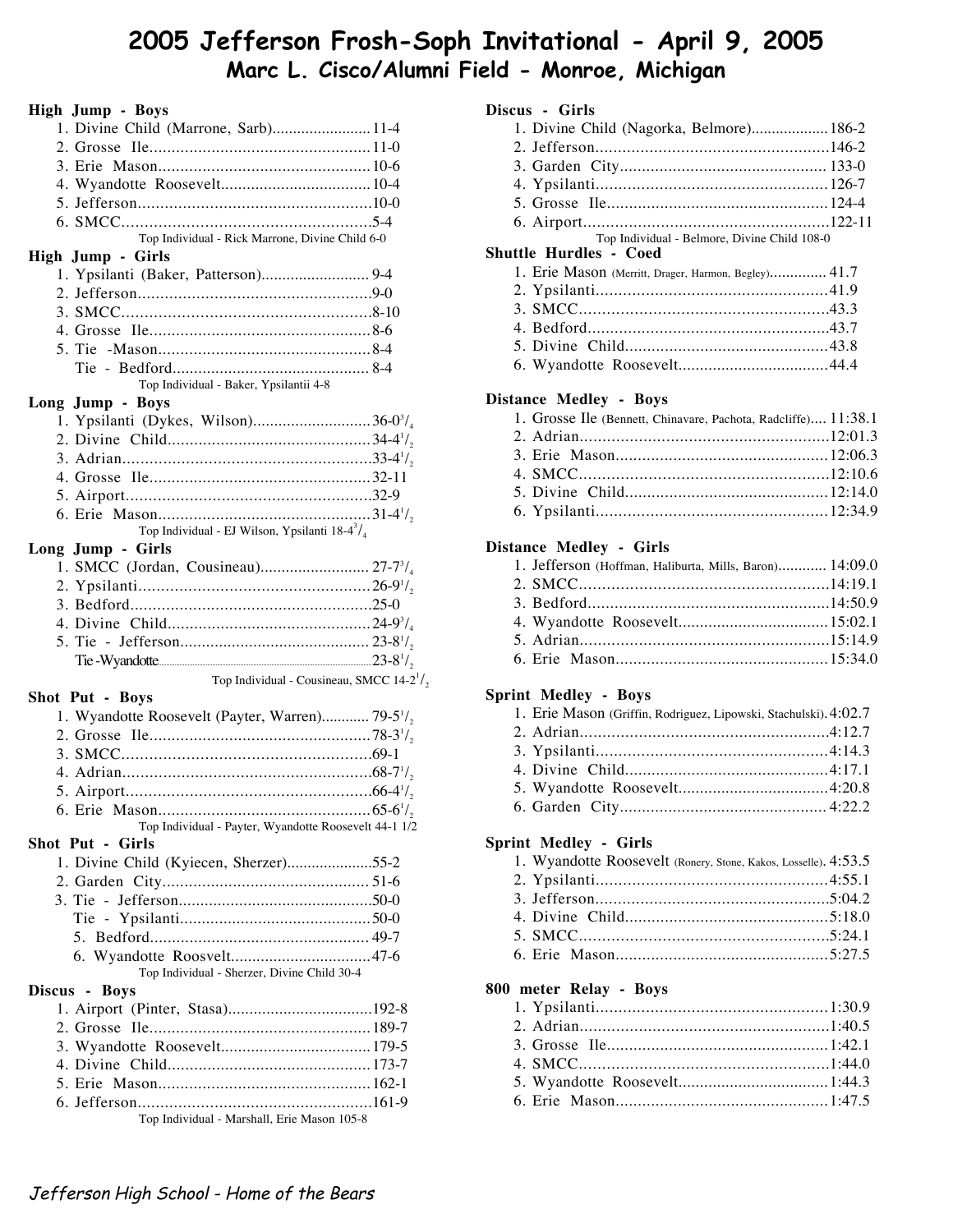# **2005 Jefferson Frosh-Soph Invitational - April 9, 2005 Marc L. Cisco/Alumni Field - Monroe, Michigan**

| <b>High Jump - Boys</b>                                                  |  |
|--------------------------------------------------------------------------|--|
| 1. Divine Child (Marrone, Sarb)11-4                                      |  |
|                                                                          |  |
|                                                                          |  |
|                                                                          |  |
|                                                                          |  |
|                                                                          |  |
| Top Individual - Rick Marrone, Divine Child 6-0                          |  |
| High Jump - Girls                                                        |  |
| 1. Ypsilanti (Baker, Patterson) 9-4                                      |  |
|                                                                          |  |
|                                                                          |  |
|                                                                          |  |
|                                                                          |  |
|                                                                          |  |
| Top Individual - Baker, Ypsilantii 4-8                                   |  |
| Long Jump - Boys                                                         |  |
|                                                                          |  |
|                                                                          |  |
|                                                                          |  |
|                                                                          |  |
|                                                                          |  |
|                                                                          |  |
| Top Individual - EJ Wilson, Ypsilanti 18-4 $\frac{3}{4}$                 |  |
| Long Jump - Girls                                                        |  |
|                                                                          |  |
|                                                                          |  |
|                                                                          |  |
|                                                                          |  |
|                                                                          |  |
|                                                                          |  |
|                                                                          |  |
| Top Individual - Cousineau, SMCC 14-2 <sup>1</sup> / <sub>2</sub>        |  |
| Shot Put - Boys                                                          |  |
| 1. Wyandotte Roosevelt (Payter, Warren) 79-5 <sup>1</sup> / <sub>2</sub> |  |
|                                                                          |  |
|                                                                          |  |
|                                                                          |  |
|                                                                          |  |
|                                                                          |  |
| Top Individual - Payter, Wyandotte Roosevelt 44-1 1/2                    |  |
| Shot Put - Girls                                                         |  |
| 1. Divine Child (Kyiecen, Sherzer)55-2                                   |  |
|                                                                          |  |
|                                                                          |  |
|                                                                          |  |
|                                                                          |  |
|                                                                          |  |
| Top Individual - Sherzer, Divine Child 30-4                              |  |
| Discus - Boys                                                            |  |
|                                                                          |  |
|                                                                          |  |
|                                                                          |  |
|                                                                          |  |
|                                                                          |  |
| Top Individual - Marshall, Erie Mason 105-8                              |  |

## **Discus - Girls**

| 1. Divine Child (Nagorka, Belmore) 186-2                         |  |
|------------------------------------------------------------------|--|
|                                                                  |  |
|                                                                  |  |
|                                                                  |  |
|                                                                  |  |
|                                                                  |  |
| Top Individual - Belmore, Divine Child 108-0                     |  |
| <b>Shuttle Hurdles - Coed</b>                                    |  |
| 1. Erie Mason (Merritt, Drager, Harmon, Begley) 41.7             |  |
|                                                                  |  |
|                                                                  |  |
|                                                                  |  |
|                                                                  |  |
|                                                                  |  |
| <b>Distance Medley - Boys</b>                                    |  |
| 1. Grosse Ile (Bennett, Chinavare, Pachota, Radcliffe) 11:38.1   |  |
|                                                                  |  |
|                                                                  |  |
|                                                                  |  |
|                                                                  |  |
|                                                                  |  |
|                                                                  |  |
| Distance Medley - Girls                                          |  |
| 1. Jefferson (Hoffman, Haliburta, Mills, Baron) 14:09.0          |  |
|                                                                  |  |
|                                                                  |  |
|                                                                  |  |
|                                                                  |  |
|                                                                  |  |
|                                                                  |  |
| <b>Sprint Medley - Boys</b>                                      |  |
| 1. Erie Mason (Griffin, Rodriguez, Lipowski, Stachulski). 4:02.7 |  |
|                                                                  |  |
|                                                                  |  |
|                                                                  |  |
|                                                                  |  |
|                                                                  |  |
|                                                                  |  |
| <b>Sprint Medley - Girls</b>                                     |  |
| 1. Wyandotte Roosevelt (Ronery, Stone, Kakos, Losselle). 4:53.5  |  |
|                                                                  |  |
|                                                                  |  |
|                                                                  |  |
|                                                                  |  |
|                                                                  |  |
| 800 meter Relay - Boys                                           |  |
|                                                                  |  |
|                                                                  |  |
|                                                                  |  |
|                                                                  |  |
|                                                                  |  |
|                                                                  |  |